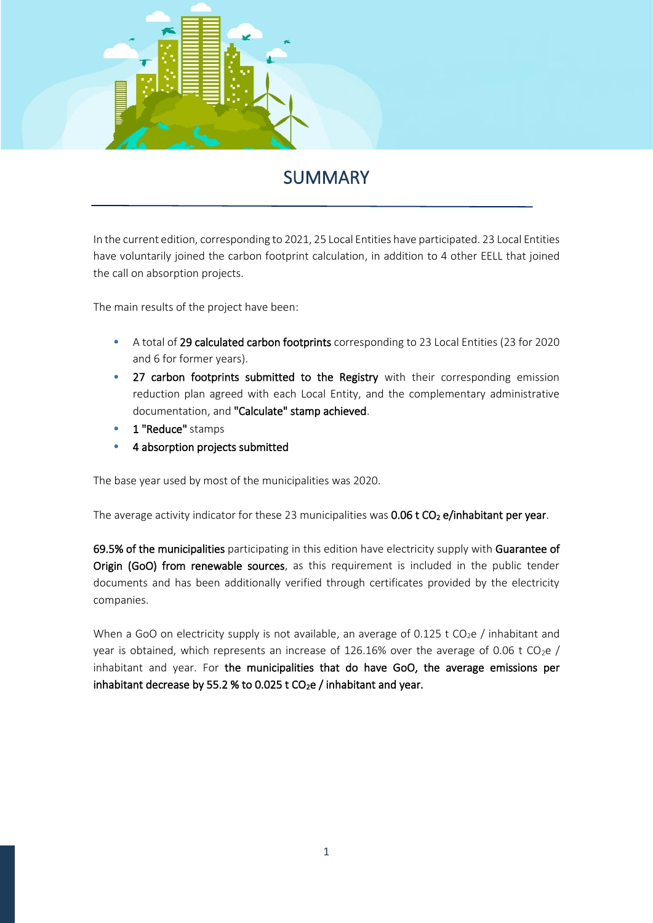

## SUMMARY

Ī

In the current edition, corresponding to 2021, 25 Local Entities have participated. 23 Local Entities have voluntarily joined the carbon footprint calculation, in addition to 4 other EELL that joined the call on absorption projects.

The main results of the project have been:

- A total of 29 calculated carbon footprints corresponding to 23 Local Entities (23 for 2020 and 6 for former years).
- 27 carbon footprints submitted to the Registry with their corresponding emission reduction plan agreed with each Local Entity, and the complementary administrative documentation, and "Calculate" stamp achieved.
- 1 "Reduce" stamps
- 4 absorption projects submitted

The base year used by most of the municipalities was 2020.

The average activity indicator for these 23 municipalities was  $0.06$  t  $CO<sub>2</sub>$  e/inhabitant per year.

69.5% of the municipalities participating in this edition have electricity supply with Guarantee of Origin (GoO) from renewable sources, as this requirement is included in the public tender documents and has been additionally verified through certificates provided by the electricity companies.

When a GoO on electricity supply is not available, an average of 0.125 t CO<sub>2</sub>e / inhabitant and year is obtained, which represents an increase of 126.16% over the average of 0.06 t CO<sub>2</sub>e / inhabitant and year. For the municipalities that do have GoO, the average emissions per inhabitant decrease by 55.2 % to 0.025 t  $CO<sub>2</sub>e$  / inhabitant and year.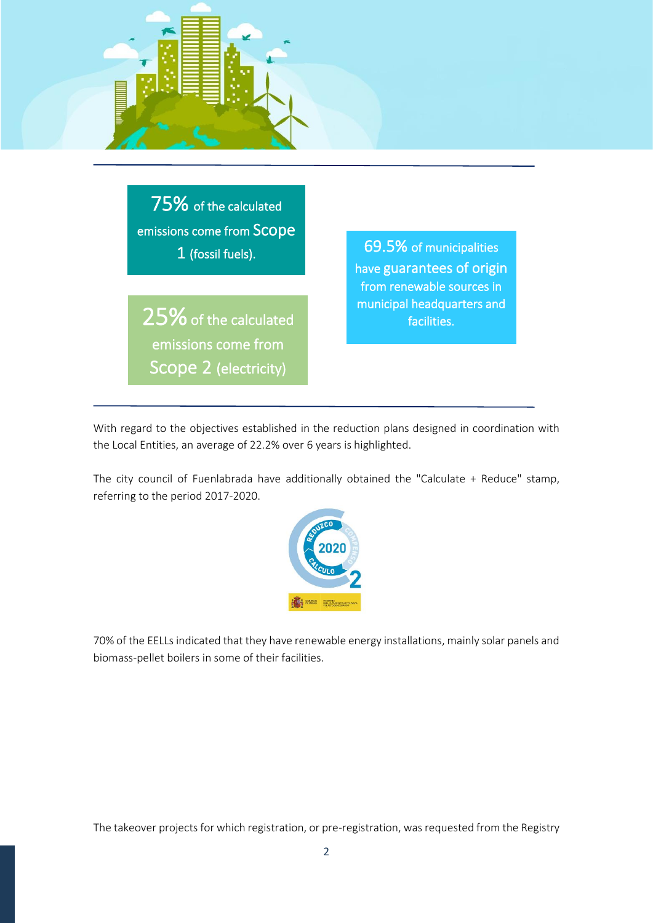

75% of the calculated emissions come from Scope 1 (fossil fuels).

25% of the calculated emissions come from Scope 2 (electricity)

69.5% of municipalities have guarantees of origin from renewable sources in municipal headquarters and facilities.

With regard to the objectives established in the reduction plans designed in coordination with the Local Entities, an average of 22.2% over 6 years is highlighted.

The city council of Fuenlabrada have additionally obtained the "Calculate + Reduce" stamp, referring to the period 2017-2020.



70% of the EELLs indicated that they have renewable energy installations, mainly solar panels and biomass-pellet boilers in some of their facilities.

The takeover projects for which registration, or pre-registration, was requested from the Registry